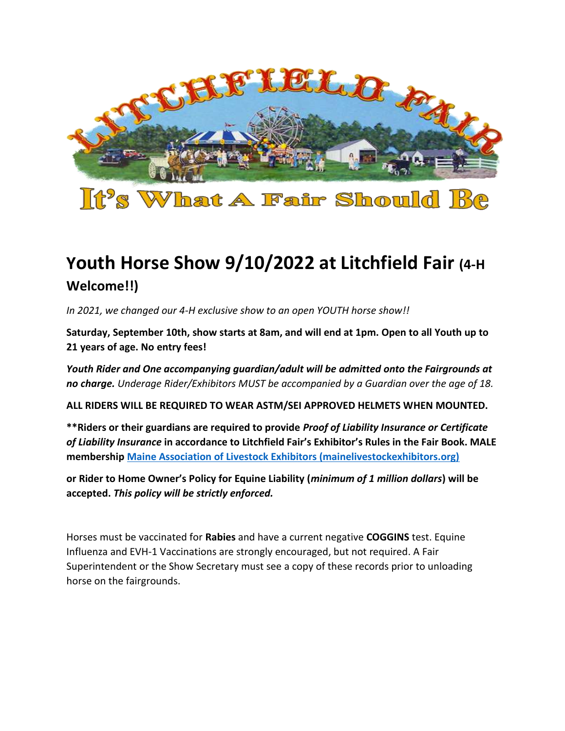

# **Youth Horse Show 9/10/2022 at Litchfield Fair (4-H Welcome!!)**

*In 2021, we changed our 4-H exclusive show to an open YOUTH horse show!!* 

**Saturday, September 10th, show starts at 8am, and will end at 1pm. Open to all Youth up to 21 years of age. No entry fees!**

*Youth Rider and One accompanying guardian/adult will be admitted onto the Fairgrounds at no charge. Underage Rider/Exhibitors MUST be accompanied by a Guardian over the age of 18.* 

**ALL RIDERS WILL BE REQUIRED TO WEAR ASTM/SEI APPROVED HELMETS WHEN MOUNTED.**

**\*\*Riders or their guardians are required to provide** *Proof of Liability Insurance or Certificate of Liability Insurance* **in accordance to Litchfield Fair's Exhibitor's Rules in the Fair Book. MALE membership [Maine Association of Livestock Exhibitors \(mainelivestockexhibitors.org\)](https://mainelivestockexhibitors.org/)**

**or Rider to Home Owner's Policy for Equine Liability (***minimum of 1 million dollars***) will be accepted.** *This policy will be strictly enforced.* 

Horses must be vaccinated for **Rabies** and have a current negative **COGGINS** test. Equine Influenza and EVH-1 Vaccinations are strongly encouraged, but not required. A Fair Superintendent or the Show Secretary must see a copy of these records prior to unloading horse on the fairgrounds.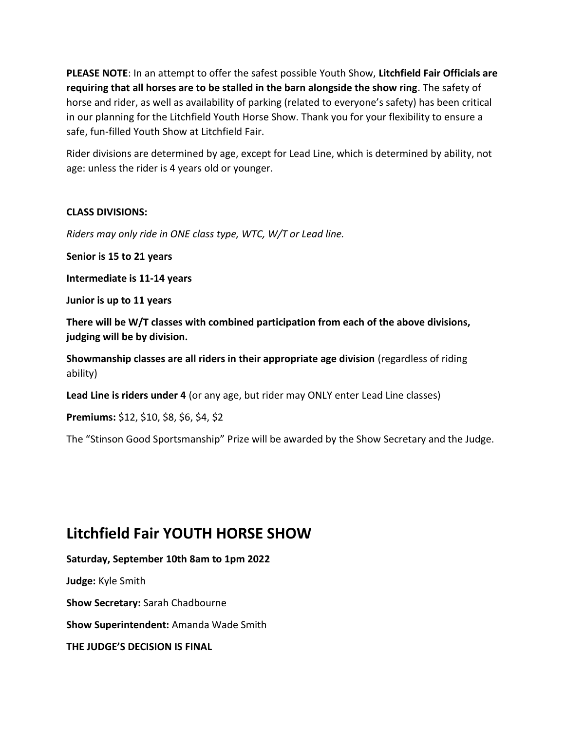**PLEASE NOTE**: In an attempt to offer the safest possible Youth Show, **Litchfield Fair Officials are requiring that all horses are to be stalled in the barn alongside the show ring**. The safety of horse and rider, as well as availability of parking (related to everyone's safety) has been critical in our planning for the Litchfield Youth Horse Show. Thank you for your flexibility to ensure a safe, fun-filled Youth Show at Litchfield Fair.

Rider divisions are determined by age, except for Lead Line, which is determined by ability, not age: unless the rider is 4 years old or younger.

### **CLASS DIVISIONS:**

*Riders may only ride in ONE class type, WTC, W/T or Lead line.*

**Senior is 15 to 21 years** 

**Intermediate is 11-14 years**

**Junior is up to 11 years**

**There will be W/T classes with combined participation from each of the above divisions, judging will be by division.** 

**Showmanship classes are all riders in their appropriate age division** (regardless of riding ability)

**Lead Line is riders under 4** (or any age, but rider may ONLY enter Lead Line classes)

**Premiums:** \$12, \$10, \$8, \$6, \$4, \$2

The "Stinson Good Sportsmanship" Prize will be awarded by the Show Secretary and the Judge.

## **Litchfield Fair YOUTH HORSE SHOW**

**Saturday, September 10th 8am to 1pm 2022**

**Judge:** Kyle Smith

**Show Secretary:** Sarah Chadbourne

**Show Superintendent:** Amanda Wade Smith

**THE JUDGE'S DECISION IS FINAL**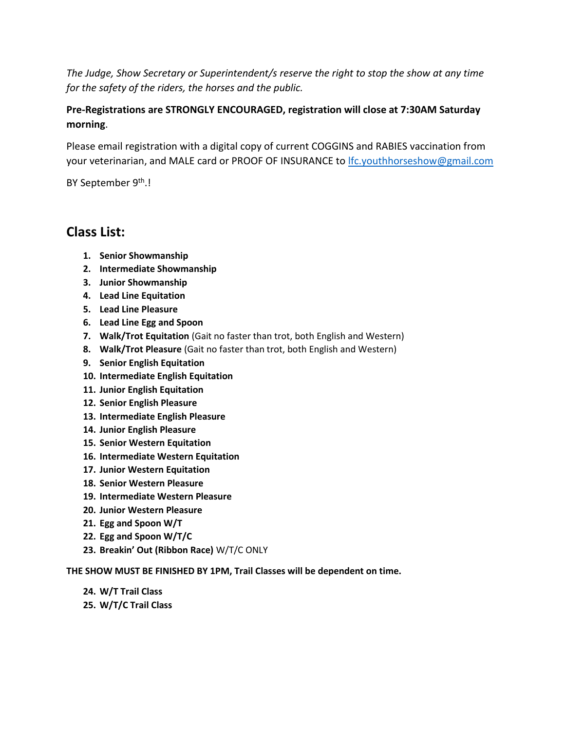*The Judge, Show Secretary or Superintendent/s reserve the right to stop the show at any time for the safety of the riders, the horses and the public.* 

### **Pre-Registrations are STRONGLY ENCOURAGED, registration will close at 7:30AM Saturday morning**.

Please email registration with a digital copy of current COGGINS and RABIES vaccination from your veterinarian, and MALE card or PROOF OF INSURANCE to *lfc.youthhorseshow@gmail.com* 

BY September 9<sup>th</sup>.!

### **Class List:**

- **1. Senior Showmanship**
- **2. Intermediate Showmanship**
- **3. Junior Showmanship**
- **4. Lead Line Equitation**
- **5. Lead Line Pleasure**
- **6. Lead Line Egg and Spoon**
- **7. Walk/Trot Equitation** (Gait no faster than trot, both English and Western)
- **8. Walk/Trot Pleasure** (Gait no faster than trot, both English and Western)
- **9. Senior English Equitation**
- **10. Intermediate English Equitation**
- **11. Junior English Equitation**
- **12. Senior English Pleasure**
- **13. Intermediate English Pleasure**
- **14. Junior English Pleasure**
- **15. Senior Western Equitation**
- **16. Intermediate Western Equitation**
- **17. Junior Western Equitation**
- **18. Senior Western Pleasure**
- **19. Intermediate Western Pleasure**
- **20. Junior Western Pleasure**
- **21. Egg and Spoon W/T**
- **22. Egg and Spoon W/T/C**
- **23. Breakin' Out (Ribbon Race)** W/T/C ONLY

#### **THE SHOW MUST BE FINISHED BY 1PM, Trail Classes will be dependent on time.**

- **24. W/T Trail Class**
- **25. W/T/C Trail Class**